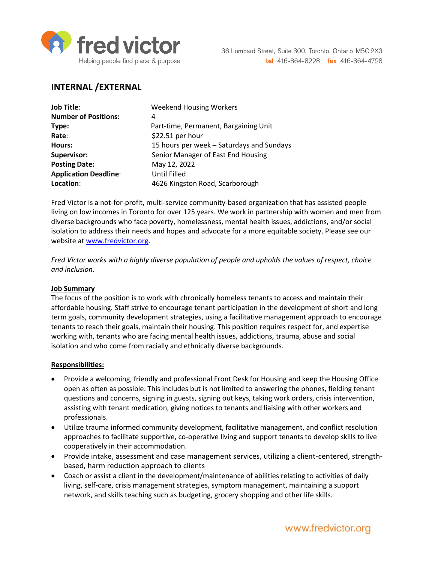

# **INTERNAL /EXTERNAL**

| <b>Job Title:</b>            | <b>Weekend Housing Workers</b>            |
|------------------------------|-------------------------------------------|
| <b>Number of Positions:</b>  | 4                                         |
| Type:                        | Part-time, Permanent, Bargaining Unit     |
| Rate:                        | \$22.51 per hour                          |
| Hours:                       | 15 hours per week - Saturdays and Sundays |
| Supervisor:                  | Senior Manager of East End Housing        |
| <b>Posting Date:</b>         | May 12, 2022                              |
| <b>Application Deadline:</b> | Until Filled                              |
| Location:                    | 4626 Kingston Road, Scarborough           |

Fred Victor is a not-for-profit, multi-service community-based organization that has assisted people living on low incomes in Toronto for over 125 years. We work in partnership with women and men from diverse backgrounds who face poverty, homelessness, mental health issues, addictions, and/or social isolation to address their needs and hopes and advocate for a more equitable society. Please see our website at [www.fredvictor.org.](http://www.fredvictor.org/)

*Fred Victor works with a highly diverse population of people and upholds the values of respect, choice and inclusion.*

### **Job Summary**

The focus of the position is to work with chronically homeless tenants to access and maintain their affordable housing. Staff strive to encourage tenant participation in the development of short and long term goals, community development strategies, using a facilitative management approach to encourage tenants to reach their goals, maintain their housing. This position requires respect for, and expertise working with, tenants who are facing mental health issues, addictions, trauma, abuse and social isolation and who come from racially and ethnically diverse backgrounds.

### **Responsibilities:**

- Provide a welcoming, friendly and professional Front Desk for Housing and keep the Housing Office open as often as possible. This includes but is not limited to answering the phones, fielding tenant questions and concerns, signing in guests, signing out keys, taking work orders, crisis intervention, assisting with tenant medication, giving notices to tenants and liaising with other workers and professionals.
- Utilize trauma informed community development, facilitative management, and conflict resolution approaches to facilitate supportive, co-operative living and support tenants to develop skills to live cooperatively in their accommodation.
- Provide intake, assessment and case management services, utilizing a client-centered, strengthbased, harm reduction approach to clients
- Coach or assist a client in the development/maintenance of abilities relating to activities of daily living, self-care, crisis management strategies, symptom management, maintaining a support network, and skills teaching such as budgeting, grocery shopping and other life skills.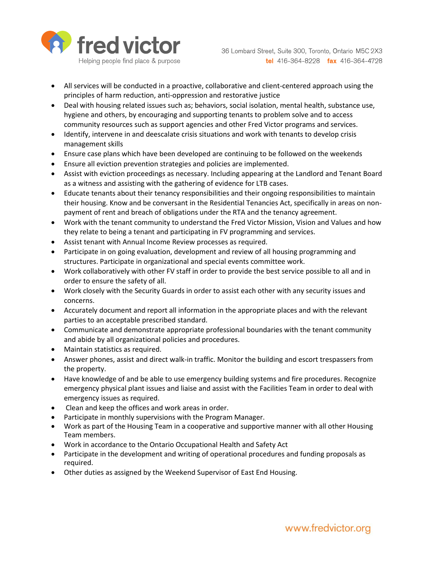

- All services will be conducted in a proactive, collaborative and client-centered approach using the principles of harm reduction, anti-oppression and restorative justice
- Deal with housing related issues such as; behaviors, social isolation, mental health, substance use, hygiene and others, by encouraging and supporting tenants to problem solve and to access community resources such as support agencies and other Fred Victor programs and services.
- Identify, intervene in and deescalate crisis situations and work with tenants to develop crisis management skills
- Ensure case plans which have been developed are continuing to be followed on the weekends
- Ensure all eviction prevention strategies and policies are implemented.
- Assist with eviction proceedings as necessary. Including appearing at the Landlord and Tenant Board as a witness and assisting with the gathering of evidence for LTB cases.
- Educate tenants about their tenancy responsibilities and their ongoing responsibilities to maintain their housing. Know and be conversant in the Residential Tenancies Act, specifically in areas on nonpayment of rent and breach of obligations under the RTA and the tenancy agreement.
- Work with the tenant community to understand the Fred Victor Mission, Vision and Values and how they relate to being a tenant and participating in FV programming and services.
- Assist tenant with Annual Income Review processes as required.
- Participate in on going evaluation, development and review of all housing programming and structures. Participate in organizational and special events committee work.
- Work collaboratively with other FV staff in order to provide the best service possible to all and in order to ensure the safety of all.
- Work closely with the Security Guards in order to assist each other with any security issues and concerns.
- Accurately document and report all information in the appropriate places and with the relevant parties to an acceptable prescribed standard.
- Communicate and demonstrate appropriate professional boundaries with the tenant community and abide by all organizational policies and procedures.
- Maintain statistics as required.
- Answer phones, assist and direct walk-in traffic. Monitor the building and escort trespassers from the property.
- Have knowledge of and be able to use emergency building systems and fire procedures. Recognize emergency physical plant issues and liaise and assist with the Facilities Team in order to deal with emergency issues as required.
- Clean and keep the offices and work areas in order.
- Participate in monthly supervisions with the Program Manager.
- Work as part of the Housing Team in a cooperative and supportive manner with all other Housing Team members.
- Work in accordance to the Ontario Occupational Health and Safety Act
- Participate in the development and writing of operational procedures and funding proposals as required.
- Other duties as assigned by the Weekend Supervisor of East End Housing.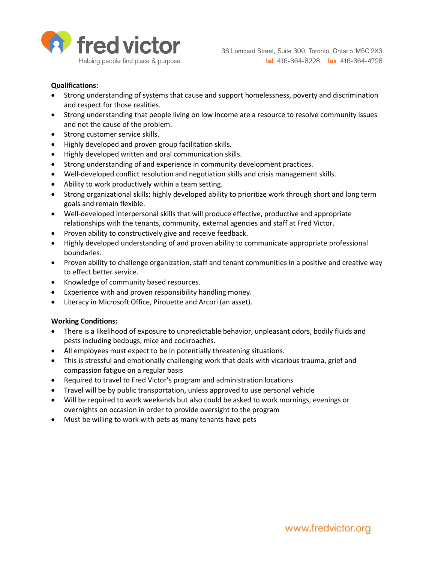

### **Qualifications:**

- Strong understanding of systems that cause and support homelessness, poverty and discrimination and respect for those realities.
- Strong understanding that people living on low income are a resource to resolve community issues and not the cause of the problem.
- Strong customer service skills.
- Highly developed and proven group facilitation skills.
- Highly developed written and oral communication skills.
- Strong understanding of and experience in community development practices.
- Well-developed conflict resolution and negotiation skills and crisis management skills.
- Ability to work productively within a team setting.
- Strong organizational skills; highly developed ability to prioritize work through short and long term goals and remain flexible.
- Well-developed interpersonal skills that will produce effective, productive and appropriate relationships with the tenants, community, external agencies and staff at Fred Victor.
- Proven ability to constructively give and receive feedback.
- Highly developed understanding of and proven ability to communicate appropriate professional boundaries.
- Proven ability to challenge organization, staff and tenant communities in a positive and creative way to effect better service.
- Knowledge of community based resources.
- Experience with and proven responsibility handling money.
- Literacy in Microsoft Office, Pirouette and Arcori (an asset).

#### **Working Conditions:**

- There is a likelihood of exposure to unpredictable behavior, unpleasant odors, bodily fluids and pests including bedbugs, mice and cockroaches.
- All employees must expect to be in potentially threatening situations.
- This is stressful and emotionally challenging work that deals with vicarious trauma, grief and compassion fatigue on a regular basis
- Required to travel to Fred Victor's program and administration locations
- Travel will be by public transportation, unless approved to use personal vehicle
- Will be required to work weekends but also could be asked to work mornings, evenings or overnights on occasion in order to provide oversight to the program
- Must be willing to work with pets as many tenants have pets